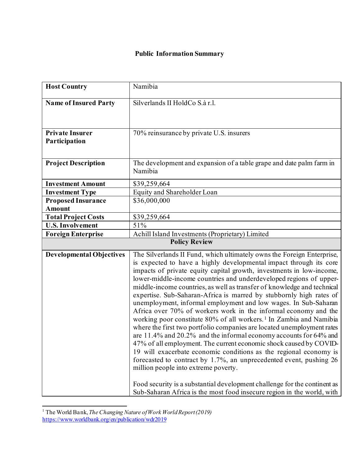## **Public Information Summary**

| <b>Host Country</b>                        | Namibia                                                                                                                                                                                                                                                                                                                                                                                                                                                                                                                                                                                                                                                                                                                                                                                                                                                                                                                                                                                                                                                                                                                                                                                                                             |
|--------------------------------------------|-------------------------------------------------------------------------------------------------------------------------------------------------------------------------------------------------------------------------------------------------------------------------------------------------------------------------------------------------------------------------------------------------------------------------------------------------------------------------------------------------------------------------------------------------------------------------------------------------------------------------------------------------------------------------------------------------------------------------------------------------------------------------------------------------------------------------------------------------------------------------------------------------------------------------------------------------------------------------------------------------------------------------------------------------------------------------------------------------------------------------------------------------------------------------------------------------------------------------------------|
| <b>Name of Insured Party</b>               | Silverlands II HoldCo S.à r.l.                                                                                                                                                                                                                                                                                                                                                                                                                                                                                                                                                                                                                                                                                                                                                                                                                                                                                                                                                                                                                                                                                                                                                                                                      |
| <b>Private Insurer</b><br>Participation    | 70% reinsurance by private U.S. insurers                                                                                                                                                                                                                                                                                                                                                                                                                                                                                                                                                                                                                                                                                                                                                                                                                                                                                                                                                                                                                                                                                                                                                                                            |
| <b>Project Description</b>                 | The development and expansion of a table grape and date palm farm in<br>Namibia                                                                                                                                                                                                                                                                                                                                                                                                                                                                                                                                                                                                                                                                                                                                                                                                                                                                                                                                                                                                                                                                                                                                                     |
| <b>Investment Amount</b>                   | \$39,259,664                                                                                                                                                                                                                                                                                                                                                                                                                                                                                                                                                                                                                                                                                                                                                                                                                                                                                                                                                                                                                                                                                                                                                                                                                        |
| <b>Investment Type</b>                     | Equity and Shareholder Loan                                                                                                                                                                                                                                                                                                                                                                                                                                                                                                                                                                                                                                                                                                                                                                                                                                                                                                                                                                                                                                                                                                                                                                                                         |
| <b>Proposed Insurance</b><br><b>Amount</b> | \$36,000,000                                                                                                                                                                                                                                                                                                                                                                                                                                                                                                                                                                                                                                                                                                                                                                                                                                                                                                                                                                                                                                                                                                                                                                                                                        |
| <b>Total Project Costs</b>                 | \$39,259,664                                                                                                                                                                                                                                                                                                                                                                                                                                                                                                                                                                                                                                                                                                                                                                                                                                                                                                                                                                                                                                                                                                                                                                                                                        |
| <b>U.S. Involvement</b>                    | 51%                                                                                                                                                                                                                                                                                                                                                                                                                                                                                                                                                                                                                                                                                                                                                                                                                                                                                                                                                                                                                                                                                                                                                                                                                                 |
| <b>Foreign Enterprise</b>                  | Achill Island Investments (Proprietary) Limited                                                                                                                                                                                                                                                                                                                                                                                                                                                                                                                                                                                                                                                                                                                                                                                                                                                                                                                                                                                                                                                                                                                                                                                     |
| <b>Policy Review</b>                       |                                                                                                                                                                                                                                                                                                                                                                                                                                                                                                                                                                                                                                                                                                                                                                                                                                                                                                                                                                                                                                                                                                                                                                                                                                     |
| <b>Developmental Objectives</b>            | The Silverlands II Fund, which ultimately owns the Foreign Enterprise,<br>is expected to have a highly developmental impact through its core<br>impacts of private equity capital growth, investments in low-income,<br>lower-middle-income countries and underdeveloped regions of upper-<br>middle-income countries, as well as transfer of knowledge and technical<br>expertise. Sub-Saharan-Africa is marred by stubbornly high rates of<br>unemployment, informal employment and low wages. In Sub-Saharan<br>Africa over 70% of workers work in the informal economy and the<br>working poor constitute 80% of all workers. <sup>1</sup> In Zambia and Namibia<br>where the first two portfolio companies are located unemployment rates<br>are 11.4% and 20.2% and the informal economy accounts for 64% and<br>47% of all employment. The current economic shock caused by COVID-<br>19 will exacerbate economic conditions as the regional economy is<br>forecasted to contract by 1.7%, an unprecedented event, pushing 26<br>million people into extreme poverty.<br>Food security is a substantial development challenge for the continent as<br>Sub-Saharan Africa is the most food insecure region in the world, with |

<span id="page-0-0"></span><sup>&</sup>lt;sup>1</sup> The World Bank, *The Changing Nature of Work World Report (2019)* <https://www.worldbank.org/en/publication/wdr2019>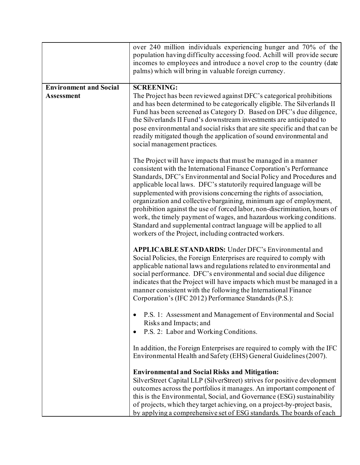|                               | over 240 million individuals experiencing hunger and 70% of the<br>population having difficulty accessing food. Achill will provide secure<br>incomes to employees and introduce a novel crop to the country (date<br>palms) which will bring in valuable foreign currency.                                                                                                                                                                                                                                                                                                                                                                                                                                        |
|-------------------------------|--------------------------------------------------------------------------------------------------------------------------------------------------------------------------------------------------------------------------------------------------------------------------------------------------------------------------------------------------------------------------------------------------------------------------------------------------------------------------------------------------------------------------------------------------------------------------------------------------------------------------------------------------------------------------------------------------------------------|
| <b>Environment and Social</b> | <b>SCREENING:</b>                                                                                                                                                                                                                                                                                                                                                                                                                                                                                                                                                                                                                                                                                                  |
| <b>Assessment</b>             | The Project has been reviewed against DFC's categorical prohibitions<br>and has been determined to be categorically eligible. The Silverlands II<br>Fund has been screened as Category D. Based on DFC's due diligence,<br>the Silverlands II Fund's downstream investments are anticipated to<br>pose environmental and social risks that are site specific and that can be<br>readily mitigated though the application of sound environmental and<br>social management practices.                                                                                                                                                                                                                                |
|                               | The Project will have impacts that must be managed in a manner<br>consistent with the International Finance Corporation's Performance<br>Standards, DFC's Environmental and Social Policy and Procedures and<br>applicable local laws. DFC's statutorily required language will be<br>supplemented with provisions concerning the rights of association,<br>organization and collective bargaining, minimum age of employment,<br>prohibition against the use of forced labor, non-discrimination, hours of<br>work, the timely payment of wages, and hazardous working conditions.<br>Standard and supplemental contract language will be applied to all<br>workers of the Project, including contracted workers. |
|                               | <b>APPLICABLE STANDARDS:</b> Under DFC's Environmental and<br>Social Policies, the Foreign Enterprises are required to comply with<br>applicable national laws and regulations related to environmental and<br>social performance. DFC's environmental and social due diligence<br>indicates that the Project will have impacts which must be managed in a<br>manner consistent with the following the International Finance<br>Corporation's (IFC 2012) Performance Standards (P.S.):                                                                                                                                                                                                                             |
|                               | P.S. 1: Assessment and Management of Environmental and Social<br>Risks and Impacts; and                                                                                                                                                                                                                                                                                                                                                                                                                                                                                                                                                                                                                            |
|                               | P.S. 2: Labor and Working Conditions.                                                                                                                                                                                                                                                                                                                                                                                                                                                                                                                                                                                                                                                                              |
|                               | In addition, the Foreign Enterprises are required to comply with the IFC<br>Environmental Health and Safety (EHS) General Guidelines (2007).                                                                                                                                                                                                                                                                                                                                                                                                                                                                                                                                                                       |
|                               | <b>Environmental and Social Risks and Mitigation:</b><br>SilverStreet Capital LLP (SilverStreet) strives for positive development<br>outcomes across the portfolios it manages. An important component of<br>this is the Environmental, Social, and Governance (ESG) sustainability<br>of projects, which they target achieving, on a project-by-project basis,<br>by applying a comprehensive set of ESG standards. The boards of each                                                                                                                                                                                                                                                                            |